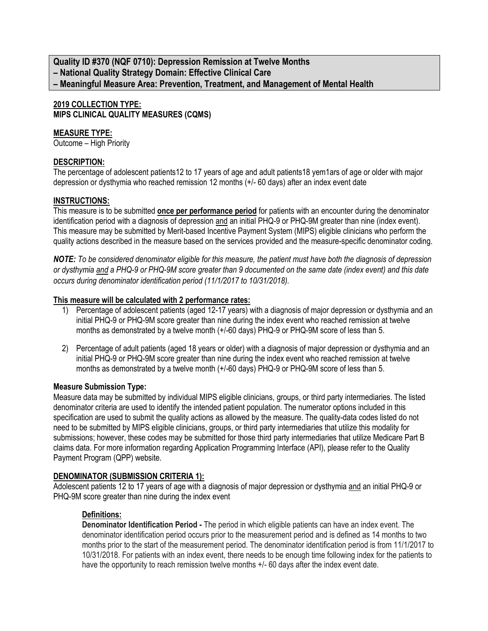**Quality ID #370 (NQF 0710): Depression Remission at Twelve Months – National Quality Strategy Domain: Effective Clinical Care – Meaningful Measure Area: Prevention, Treatment, and Management of Mental Health**

# **2019 COLLECTION TYPE: MIPS CLINICAL QUALITY MEASURES (CQMS)**

# **MEASURE TYPE:**

Outcome – High Priority

# **DESCRIPTION:**

The percentage of adolescent patients12 to 17 years of age and adult patients18 yem1ars of age or older with major depression or dysthymia who reached remission 12 months (+/- 60 days) after an index event date

# **INSTRUCTIONS:**

This measure is to be submitted **once per performance period** for patients with an encounter during the denominator identification period with a diagnosis of depression and an initial PHQ-9 or PHQ-9M greater than nine (index event). This measure may be submitted by Merit-based Incentive Payment System (MIPS) eligible clinicians who perform the quality actions described in the measure based on the services provided and the measure-specific denominator coding.

*NOTE: To be considered denominator eligible for this measure, the patient must have both the diagnosis of depression or dysthymia and a PHQ-9 or PHQ-9M score greater than 9 documented on the same date (index event) and this date occurs during denominator identification period (11/1/2017 to 10/31/2018).*

# **This measure will be calculated with 2 performance rates:**

- 1) Percentage of adolescent patients (aged 12-17 years) with a diagnosis of major depression or dysthymia and an initial PHQ-9 or PHQ-9M score greater than nine during the index event who reached remission at twelve months as demonstrated by a twelve month (+/-60 days) PHQ-9 or PHQ-9M score of less than 5.
- 2) Percentage of adult patients (aged 18 years or older) with a diagnosis of major depression or dysthymia and an initial PHQ-9 or PHQ-9M score greater than nine during the index event who reached remission at twelve months as demonstrated by a twelve month (+/-60 days) PHQ-9 or PHQ-9M score of less than 5.

# **Measure Submission Type:**

Measure data may be submitted by individual MIPS eligible clinicians, groups, or third party intermediaries. The listed denominator criteria are used to identify the intended patient population. The numerator options included in this specification are used to submit the quality actions as allowed by the measure. The quality-data codes listed do not need to be submitted by MIPS eligible clinicians, groups, or third party intermediaries that utilize this modality for submissions; however, these codes may be submitted for those third party intermediaries that utilize Medicare Part B claims data. For more information regarding Application Programming Interface (API), please refer to the Quality Payment Program (QPP) website.

# **DENOMINATOR (SUBMISSION CRITERIA 1):**

Adolescent patients 12 to 17 years of age with a diagnosis of major depression or dysthymia and an initial PHQ-9 or PHQ-9M score greater than nine during the index event

# **Definitions:**

**Denominator Identification Period -** The period in which eligible patients can have an index event. The denominator identification period occurs prior to the measurement period and is defined as 14 months to two months prior to the start of the measurement period. The denominator identification period is from 11/1/2017 to 10/31/2018. For patients with an index event, there needs to be enough time following index for the patients to have the opportunity to reach remission twelve months  $+/-$  60 days after the index event date.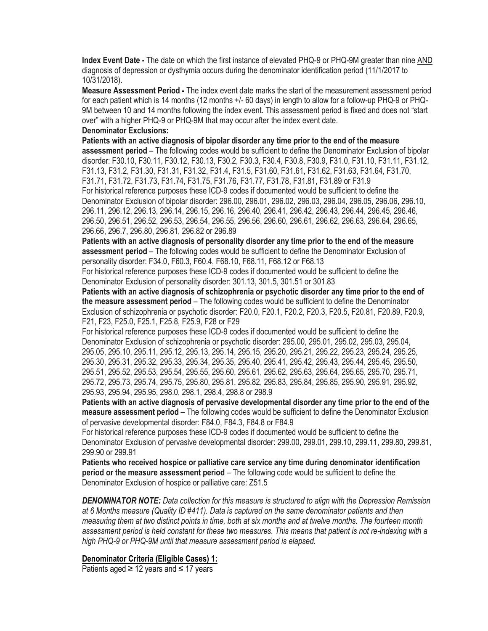**Index Event Date -** The date on which the first instance of elevated PHQ-9 or PHQ-9M greater than nine AND diagnosis of depression or dysthymia occurs during the denominator identification period (11/1/2017 to 10/31/2018).

**Measure Assessment Period -** The index event date marks the start of the measurement assessment period for each patient which is 14 months (12 months +/- 60 days) in length to allow for a follow-up PHQ-9 or PHQ-9M between 10 and 14 months following the index event. This assessment period is fixed and does not "start over" with a higher PHQ-9 or PHQ-9M that may occur after the index event date.

#### **Denominator Exclusions:**

**Patients with an active diagnosis of bipolar disorder any time prior to the end of the measure assessment period** – The following codes would be sufficient to define the Denominator Exclusion of bipolar disorder: F30.10, F30.11, F30.12, F30.13, F30.2, F30.3, F30.4, F30.8, F30.9, F31.0, F31.10, F31.11, F31.12, F31.13, F31.2, F31.30, F31.31, F31.32, F31.4, F31.5, F31.60, F31.61, F31.62, F31.63, F31.64, F31.70, F31.71, F31.72, F31.73, F31.74, F31.75, F31.76, F31.77, F31.78, F31.81, F31.89 or F31.9 For historical reference purposes these ICD-9 codes if documented would be sufficient to define the Denominator Exclusion of bipolar disorder: 296.00, 296.01, 296.02, 296.03, 296.04, 296.05, 296.06, 296.10, 296.11, 296.12, 296.13, 296.14, 296.15, 296.16, 296.40, 296.41, 296.42, 296.43, 296.44, 296.45, 296.46, 296.50, 296.51, 296.52, 296.53, 296.54, 296.55, 296.56, 296.60, 296.61, 296.62, 296.63, 296.64, 296.65, 296.66, 296.7, 296.80, 296.81, 296.82 or 296.89

**Patients with an active diagnosis of personality disorder any time prior to the end of the measure assessment period** – The following codes would be sufficient to define the Denominator Exclusion of personality disorder: F34.0, F60.3, F60.4, F68.10, F68.11, F68.12 or F68.13

For historical reference purposes these ICD-9 codes if documented would be sufficient to define the Denominator Exclusion of personality disorder: 301.13, 301.5, 301.51 or 301.83

**Patients with an active diagnosis of schizophrenia or psychotic disorder any time prior to the end of the measure assessment period** – The following codes would be sufficient to define the Denominator Exclusion of schizophrenia or psychotic disorder: F20.0, F20.1, F20.2, F20.3, F20.5, F20.81, F20.89, F20.9, F21, F23, F25.0, F25.1, F25.8, F25.9, F28 or F29

For historical reference purposes these ICD-9 codes if documented would be sufficient to define the Denominator Exclusion of schizophrenia or psychotic disorder: 295.00, 295.01, 295.02, 295.03, 295.04, 295.05, 295.10, 295.11, 295.12, 295.13, 295.14, 295.15, 295.20, 295.21, 295.22, 295.23, 295.24, 295.25, 295.30, 295.31, 295.32, 295.33, 295.34, 295.35, 295.40, 295.41, 295.42, 295.43, 295.44, 295.45, 295.50, 295.51, 295.52, 295.53, 295.54, 295.55, 295.60, 295.61, 295.62, 295.63, 295.64, 295.65, 295.70, 295.71, 295.72, 295.73, 295.74, 295.75, 295.80, 295.81, 295.82, 295.83, 295.84, 295.85, 295.90, 295.91, 295.92, 295.93, 295.94, 295.95, 298.0, 298.1, 298.4, 298.8 or 298.9

**Patients with an active diagnosis of pervasive developmental disorder any time prior to the end of the measure assessment period** – The following codes would be sufficient to define the Denominator Exclusion of pervasive developmental disorder: F84.0, F84.3, F84.8 or F84.9

For historical reference purposes these ICD-9 codes if documented would be sufficient to define the Denominator Exclusion of pervasive developmental disorder: 299.00, 299.01, 299.10, 299.11, 299.80, 299.81, 299.90 or 299.91

**Patients who received hospice or palliative care service any time during denominator identification period or the measure assessment period** – The following code would be sufficient to define the Denominator Exclusion of hospice or palliative care: Z51.5

*DENOMINATOR NOTE: Data collection for this measure is structured to align with the Depression Remission at 6 Months measure (Quality ID #411). Data is captured on the same denominator patients and then measuring them at two distinct points in time, both at six months and at twelve months. The fourteen month assessment period is held constant for these two measures. This means that patient is not re-indexing with a high PHQ-9 or PHQ-9M until that measure assessment period is elapsed.*

#### **Denominator Criteria (Eligible Cases) 1:**

Patients aged  $\geq$  12 years and  $\leq$  17 years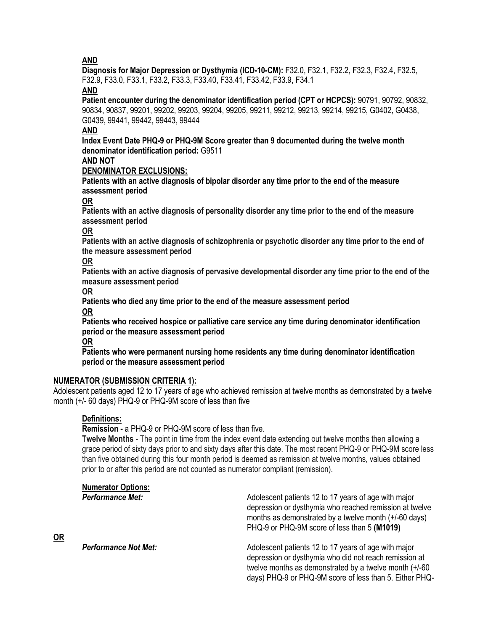**AND**

**Diagnosis for Major Depression or Dysthymia (ICD-10-CM):** F32.0, F32.1, F32.2, F32.3, F32.4, F32.5, F32.9, F33.0, F33.1, F33.2, F33.3, F33.40, F33.41, F33.42, F33.9, F34.1

**AND**

**Patient encounter during the denominator identification period (CPT or HCPCS):** 90791, 90792, 90832, 90834, 90837, 99201, 99202, 99203, 99204, 99205, 99211, 99212, 99213, 99214, 99215, G0402, G0438, G0439, 99441, 99442, 99443, 99444

# **AND**

**Index Event Date PHQ-9 or PHQ-9M Score greater than 9 documented during the twelve month denominator identification period:** G9511

# **AND NOT**

### **DENOMINATOR EXCLUSIONS:**

**Patients with an active diagnosis of bipolar disorder any time prior to the end of the measure assessment period**

**OR**

**Patients with an active diagnosis of personality disorder any time prior to the end of the measure assessment period**

### **OR**

**Patients with an active diagnosis of schizophrenia or psychotic disorder any time prior to the end of the measure assessment period**

#### **OR**

**Patients with an active diagnosis of pervasive developmental disorder any time prior to the end of the measure assessment period**

**OR**

**Patients who died any time prior to the end of the measure assessment period**

**OR**

**Patients who received hospice or palliative care service any time during denominator identification period or the measure assessment period**

**OR**

**Patients who were permanent nursing home residents any time during denominator identification period or the measure assessment period**

### **NUMERATOR (SUBMISSION CRITERIA 1):**

Adolescent patients aged 12 to 17 years of age who achieved remission at twelve months as demonstrated by a twelve month (+/- 60 days) PHQ-9 or PHQ-9M score of less than five

### **Definitions:**

**OR**

**Remission -** a PHQ-9 or PHQ-9M score of less than five.

**Twelve Months** - The point in time from the index event date extending out twelve months then allowing a grace period of sixty days prior to and sixty days after this date. The most recent PHQ-9 or PHQ-9M score less than five obtained during this four month period is deemed as remission at twelve months, values obtained prior to or after this period are not counted as numerator compliant (remission).

| <b>Numerator Options:</b><br><b>Performance Met:</b> | Adolescent patients 12 to 17 years of age with major<br>depression or dysthymia who reached remission at twelve<br>months as demonstrated by a twelve month (+/-60 days)<br>PHQ-9 or PHQ-9M score of less than 5 (M1019)               |
|------------------------------------------------------|----------------------------------------------------------------------------------------------------------------------------------------------------------------------------------------------------------------------------------------|
| <b>Performance Not Met:</b>                          | Adolescent patients 12 to 17 years of age with major<br>depression or dysthymia who did not reach remission at<br>twelve months as demonstrated by a twelve month $(+/-60)$<br>days) PHQ-9 or PHQ-9M score of less than 5. Either PHQ- |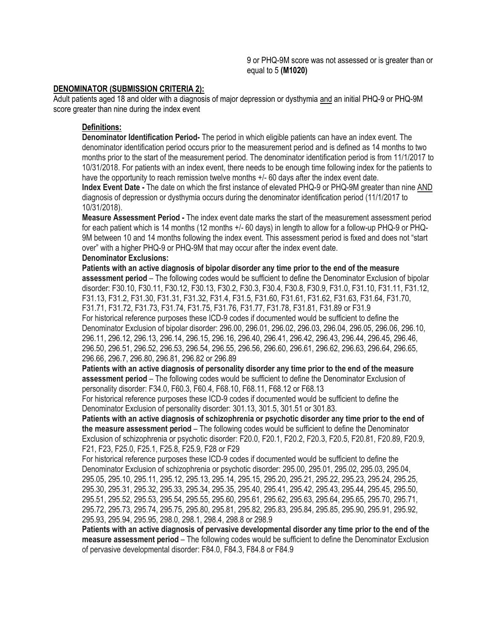9 or PHQ-9M score was not assessed or is greater than or equal to 5 **(M1020)**

#### **DENOMINATOR (SUBMISSION CRITERIA 2):**

Adult patients aged 18 and older with a diagnosis of major depression or dysthymia and an initial PHQ-9 or PHQ-9M score greater than nine during the index event

#### **Definitions:**

**Denominator Identification Period-** The period in which eligible patients can have an index event. The denominator identification period occurs prior to the measurement period and is defined as 14 months to two months prior to the start of the measurement period. The denominator identification period is from 11/1/2017 to 10/31/2018. For patients with an index event, there needs to be enough time following index for the patients to have the opportunity to reach remission twelve months  $+/-$  60 days after the index event date.

**Index Event Date -** The date on which the first instance of elevated PHQ-9 or PHQ-9M greater than nine AND diagnosis of depression or dysthymia occurs during the denominator identification period (11/1/2017 to 10/31/2018).

**Measure Assessment Period -** The index event date marks the start of the measurement assessment period for each patient which is 14 months (12 months +/- 60 days) in length to allow for a follow-up PHQ-9 or PHQ-9M between 10 and 14 months following the index event. This assessment period is fixed and does not "start over" with a higher PHQ-9 or PHQ-9M that may occur after the index event date.

#### **Denominator Exclusions:**

**Patients with an active diagnosis of bipolar disorder any time prior to the end of the measure assessment period** – The following codes would be sufficient to define the Denominator Exclusion of bipolar disorder: F30.10, F30.11, F30.12, F30.13, F30.2, F30.3, F30.4, F30.8, F30.9, F31.0, F31.10, F31.11, F31.12, F31.13, F31.2, F31.30, F31.31, F31.32, F31.4, F31.5, F31.60, F31.61, F31.62, F31.63, F31.64, F31.70, F31.71, F31.72, F31.73, F31.74, F31.75, F31.76, F31.77, F31.78, F31.81, F31.89 or F31.9 For historical reference purposes these ICD-9 codes if documented would be sufficient to define the Denominator Exclusion of bipolar disorder: 296.00, 296.01, 296.02, 296.03, 296.04, 296.05, 296.06, 296.10, 296.11, 296.12, 296.13, 296.14, 296.15, 296.16, 296.40, 296.41, 296.42, 296.43, 296.44, 296.45, 296.46, 296.50, 296.51, 296.52, 296.53, 296.54, 296.55, 296.56, 296.60, 296.61, 296.62, 296.63, 296.64, 296.65, 296.66, 296.7, 296.80, 296.81, 296.82 or 296.89

**Patients with an active diagnosis of personality disorder any time prior to the end of the measure assessment period** – The following codes would be sufficient to define the Denominator Exclusion of personality disorder: F34.0, F60.3, F60.4, F68.10, F68.11, F68.12 or F68.13

For historical reference purposes these ICD-9 codes if documented would be sufficient to define the Denominator Exclusion of personality disorder: 301.13, 301.5, 301.51 or 301.83.

**Patients with an active diagnosis of schizophrenia or psychotic disorder any time prior to the end of the measure assessment period** – The following codes would be sufficient to define the Denominator Exclusion of schizophrenia or psychotic disorder: F20.0, F20.1, F20.2, F20.3, F20.5, F20.81, F20.89, F20.9, F21, F23, F25.0, F25.1, F25.8, F25.9, F28 or F29

For historical reference purposes these ICD-9 codes if documented would be sufficient to define the Denominator Exclusion of schizophrenia or psychotic disorder: 295.00, 295.01, 295.02, 295.03, 295.04, 295.05, 295.10, 295.11, 295.12, 295.13, 295.14, 295.15, 295.20, 295.21, 295.22, 295.23, 295.24, 295.25, 295.30, 295.31, 295.32, 295.33, 295.34, 295.35, 295.40, 295.41, 295.42, 295.43, 295.44, 295.45, 295.50, 295.51, 295.52, 295.53, 295.54, 295.55, 295.60, 295.61, 295.62, 295.63, 295.64, 295.65, 295.70, 295.71, 295.72, 295.73, 295.74, 295.75, 295.80, 295.81, 295.82, 295.83, 295.84, 295.85, 295.90, 295.91, 295.92, 295.93, 295.94, 295.95, 298.0, 298.1, 298.4, 298.8 or 298.9

**Patients with an active diagnosis of pervasive developmental disorder any time prior to the end of the measure assessment period** – The following codes would be sufficient to define the Denominator Exclusion of pervasive developmental disorder: F84.0, F84.3, F84.8 or F84.9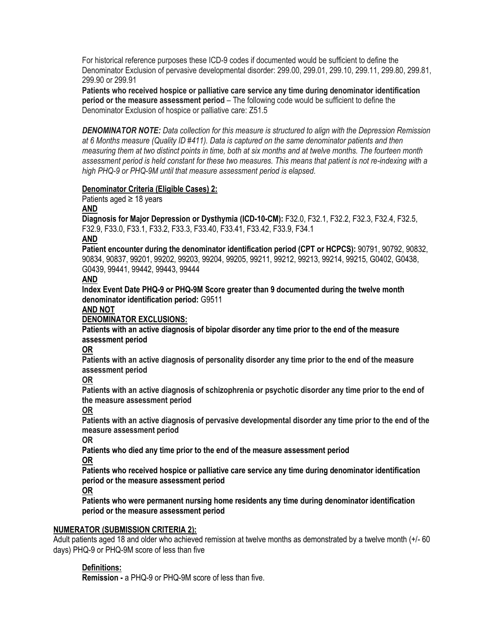For historical reference purposes these ICD-9 codes if documented would be sufficient to define the Denominator Exclusion of pervasive developmental disorder: 299.00, 299.01, 299.10, 299.11, 299.80, 299.81, 299.90 or 299.91

**Patients who received hospice or palliative care service any time during denominator identification period or the measure assessment period** – The following code would be sufficient to define the Denominator Exclusion of hospice or palliative care: Z51.5

*DENOMINATOR NOTE: Data collection for this measure is structured to align with the Depression Remission at 6 Months measure (Quality ID #411). Data is captured on the same denominator patients and then measuring them at two distinct points in time, both at six months and at twelve months. The fourteen month assessment period is held constant for these two measures. This means that patient is not re-indexing with a high PHQ-9 or PHQ-9M until that measure assessment period is elapsed.*

#### **Denominator Criteria (Eligible Cases) 2:**

Patients aged ≥ 18 years

#### **AND**

**Diagnosis for Major Depression or Dysthymia (ICD-10-CM):** F32.0, F32.1, F32.2, F32.3, F32.4, F32.5, F32.9, F33.0, F33.1, F33.2, F33.3, F33.40, F33.41, F33.42, F33.9, F34.1

#### **AND**

**Patient encounter during the denominator identification period (CPT or HCPCS):** 90791, 90792, 90832, 90834, 90837, 99201, 99202, 99203, 99204, 99205, 99211, 99212, 99213, 99214, 99215, G0402, G0438, G0439, 99441, 99442, 99443, 99444

#### **AND**

**Index Event Date PHQ-9 or PHQ-9M Score greater than 9 documented during the twelve month denominator identification period:** G9511

#### **AND NOT**

### **DENOMINATOR EXCLUSIONS:**

**Patients with an active diagnosis of bipolar disorder any time prior to the end of the measure assessment period**

### **OR**

**Patients with an active diagnosis of personality disorder any time prior to the end of the measure assessment period**

### **OR**

**Patients with an active diagnosis of schizophrenia or psychotic disorder any time prior to the end of the measure assessment period**

**OR**

**Patients with an active diagnosis of pervasive developmental disorder any time prior to the end of the measure assessment period**

**OR**

**Patients who died any time prior to the end of the measure assessment period**

**OR**

**Patients who received hospice or palliative care service any time during denominator identification period or the measure assessment period**

### **OR**

**Patients who were permanent nursing home residents any time during denominator identification period or the measure assessment period**

### **NUMERATOR (SUBMISSION CRITERIA 2):**

Adult patients aged 18 and older who achieved remission at twelve months as demonstrated by a twelve month (+/- 60 days) PHQ-9 or PHQ-9M score of less than five

### **Definitions:**

**Remission -** a PHQ-9 or PHQ-9M score of less than five.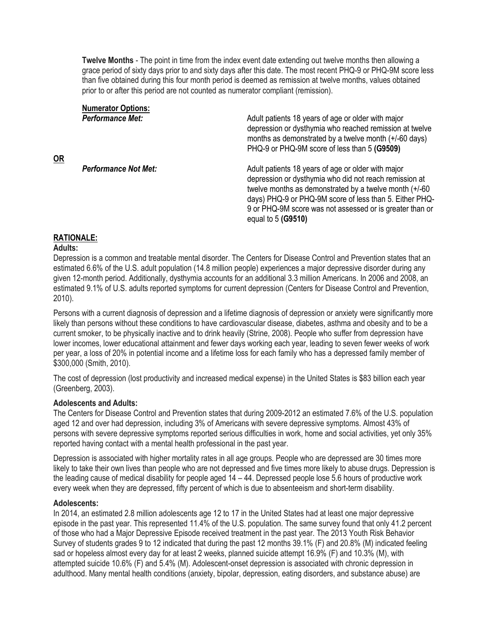**Twelve Months** - The point in time from the index event date extending out twelve months then allowing a grace period of sixty days prior to and sixty days after this date. The most recent PHQ-9 or PHQ-9M score less than five obtained during this four month period is deemed as remission at twelve months, values obtained prior to or after this period are not counted as numerator compliant (remission).

| <b>Numerator Options:</b>   |                                                                                                                                                                                                                                                                                                                        |
|-----------------------------|------------------------------------------------------------------------------------------------------------------------------------------------------------------------------------------------------------------------------------------------------------------------------------------------------------------------|
| <b>Performance Met:</b>     | Adult patients 18 years of age or older with major<br>depression or dysthymia who reached remission at twelve<br>months as demonstrated by a twelve month (+/-60 days)                                                                                                                                                 |
|                             | PHQ-9 or PHQ-9M score of less than 5 (G9509)                                                                                                                                                                                                                                                                           |
| <b>Performance Not Met:</b> | Adult patients 18 years of age or older with major<br>depression or dysthymia who did not reach remission at<br>twelve months as demonstrated by a twelve month $(+/-60)$<br>days) PHQ-9 or PHQ-9M score of less than 5. Either PHQ-<br>9 or PHQ-9M score was not assessed or is greater than or<br>equal to 5 (G9510) |

#### **RATIONALE:**

#### **Adults:**

Depression is a common and treatable mental disorder. The Centers for Disease Control and Prevention states that an estimated 6.6% of the U.S. adult population (14.8 million people) experiences a major depressive disorder during any given 12-month period. Additionally, dysthymia accounts for an additional 3.3 million Americans. In 2006 and 2008, an estimated 9.1% of U.S. adults reported symptoms for current depression (Centers for Disease Control and Prevention, 2010).

Persons with a current diagnosis of depression and a lifetime diagnosis of depression or anxiety were significantly more likely than persons without these conditions to have cardiovascular disease, diabetes, asthma and obesity and to be a current smoker, to be physically inactive and to drink heavily (Strine, 2008). People who suffer from depression have lower incomes, lower educational attainment and fewer days working each year, leading to seven fewer weeks of work per year, a loss of 20% in potential income and a lifetime loss for each family who has a depressed family member of \$300,000 (Smith, 2010).

The cost of depression (lost productivity and increased medical expense) in the United States is \$83 billion each year (Greenberg, 2003).

#### **Adolescents and Adults:**

The Centers for Disease Control and Prevention states that during 2009-2012 an estimated 7.6% of the U.S. population aged 12 and over had depression, including 3% of Americans with severe depressive symptoms. Almost 43% of persons with severe depressive symptoms reported serious difficulties in work, home and social activities, yet only 35% reported having contact with a mental health professional in the past year.

Depression is associated with higher mortality rates in all age groups. People who are depressed are 30 times more likely to take their own lives than people who are not depressed and five times more likely to abuse drugs. Depression is the leading cause of medical disability for people aged 14 – 44. Depressed people lose 5.6 hours of productive work every week when they are depressed, fifty percent of which is due to absenteeism and short-term disability.

#### **Adolescents:**

In 2014, an estimated 2.8 million adolescents age 12 to 17 in the United States had at least one major depressive episode in the past year. This represented 11.4% of the U.S. population. The same survey found that only 41.2 percent of those who had a Major Depressive Episode received treatment in the past year. The 2013 Youth Risk Behavior Survey of students grades 9 to 12 indicated that during the past 12 months 39.1% (F) and 20.8% (M) indicated feeling sad or hopeless almost every day for at least 2 weeks, planned suicide attempt 16.9% (F) and 10.3% (M), with attempted suicide 10.6% (F) and 5.4% (M). Adolescent-onset depression is associated with chronic depression in adulthood. Many mental health conditions (anxiety, bipolar, depression, eating disorders, and substance abuse) are

**OR**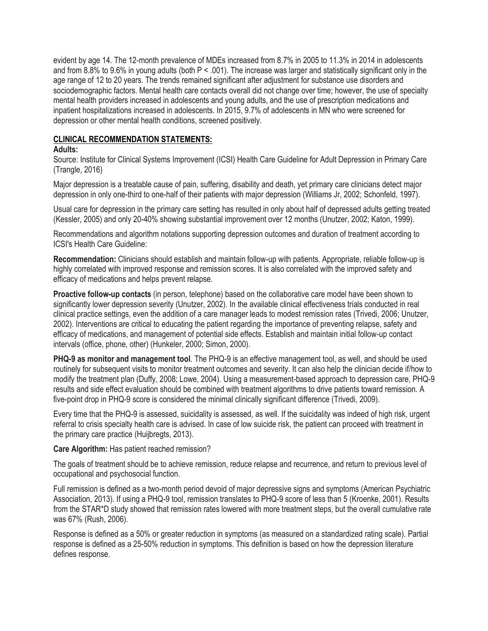evident by age 14. The 12-month prevalence of MDEs increased from 8.7% in 2005 to 11.3% in 2014 in adolescents and from 8.8% to 9.6% in young adults (both P < .001). The increase was larger and statistically significant only in the age range of 12 to 20 years. The trends remained significant after adjustment for substance use disorders and sociodemographic factors. Mental health care contacts overall did not change over time; however, the use of specialty mental health providers increased in adolescents and young adults, and the use of prescription medications and inpatient hospitalizations increased in adolescents. In 2015, 9.7% of adolescents in MN who were screened for depression or other mental health conditions, screened positively.

### **CLINICAL RECOMMENDATION STATEMENTS:**

#### **Adults:**

Source: Institute for Clinical Systems Improvement (ICSI) Health Care Guideline for Adult Depression in Primary Care (Trangle, 2016)

Major depression is a treatable cause of pain, suffering, disability and death, yet primary care clinicians detect major depression in only one-third to one-half of their patients with major depression (Williams Jr, 2002; Schonfeld, 1997).

Usual care for depression in the primary care setting has resulted in only about half of depressed adults getting treated (Kessler, 2005) and only 20-40% showing substantial improvement over 12 months (Unutzer, 2002; Katon, 1999).

Recommendations and algorithm notations supporting depression outcomes and duration of treatment according to ICSI's Health Care Guideline:

**Recommendation:** Clinicians should establish and maintain follow-up with patients. Appropriate, reliable follow-up is highly correlated with improved response and remission scores. It is also correlated with the improved safety and efficacy of medications and helps prevent relapse.

**Proactive follow-up contacts** (in person, telephone) based on the collaborative care model have been shown to significantly lower depression severity (Unutzer, 2002). In the available clinical effectiveness trials conducted in real clinical practice settings, even the addition of a care manager leads to modest remission rates (Trivedi, 2006; Unutzer, 2002). Interventions are critical to educating the patient regarding the importance of preventing relapse, safety and efficacy of medications, and management of potential side effects. Establish and maintain initial follow-up contact intervals (office, phone, other) (Hunkeler, 2000; Simon, 2000).

**PHQ-9 as monitor and management tool**. The PHQ-9 is an effective management tool, as well, and should be used routinely for subsequent visits to monitor treatment outcomes and severity. It can also help the clinician decide if/how to modify the treatment plan (Duffy, 2008; Lowe, 2004). Using a measurement-based approach to depression care, PHQ-9 results and side effect evaluation should be combined with treatment algorithms to drive patients toward remission. A five-point drop in PHQ-9 score is considered the minimal clinically significant difference (Trivedi, 2009).

Every time that the PHQ-9 is assessed, suicidality is assessed, as well. If the suicidality was indeed of high risk, urgent referral to crisis specialty health care is advised. In case of low suicide risk, the patient can proceed with treatment in the primary care practice (Huijbregts, 2013).

#### **Care Algorithm:** Has patient reached remission?

The goals of treatment should be to achieve remission, reduce relapse and recurrence, and return to previous level of occupational and psychosocial function.

Full remission is defined as a two-month period devoid of major depressive signs and symptoms (American Psychiatric Association, 2013). If using a PHQ-9 tool, remission translates to PHQ-9 score of less than 5 (Kroenke, 2001). Results from the STAR\*D study showed that remission rates lowered with more treatment steps, but the overall cumulative rate was 67% (Rush, 2006).

Response is defined as a 50% or greater reduction in symptoms (as measured on a standardized rating scale). Partial response is defined as a 25-50% reduction in symptoms. This definition is based on how the depression literature defines response.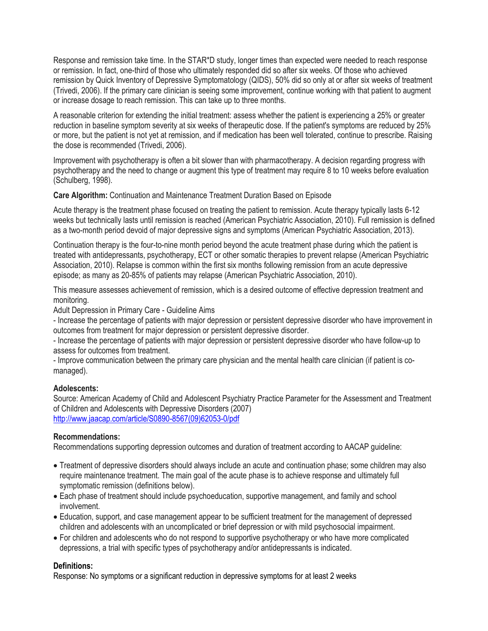Response and remission take time. In the STAR\*D study, longer times than expected were needed to reach response or remission. In fact, one-third of those who ultimately responded did so after six weeks. Of those who achieved remission by Quick Inventory of Depressive Symptomatology (QIDS), 50% did so only at or after six weeks of treatment (Trivedi, 2006). If the primary care clinician is seeing some improvement, continue working with that patient to augment or increase dosage to reach remission. This can take up to three months.

A reasonable criterion for extending the initial treatment: assess whether the patient is experiencing a 25% or greater reduction in baseline symptom severity at six weeks of therapeutic dose. If the patient's symptoms are reduced by 25% or more, but the patient is not yet at remission, and if medication has been well tolerated, continue to prescribe. Raising the dose is recommended (Trivedi, 2006).

Improvement with psychotherapy is often a bit slower than with pharmacotherapy. A decision regarding progress with psychotherapy and the need to change or augment this type of treatment may require 8 to 10 weeks before evaluation (Schulberg, 1998).

**Care Algorithm:** Continuation and Maintenance Treatment Duration Based on Episode

Acute therapy is the treatment phase focused on treating the patient to remission. Acute therapy typically lasts 6-12 weeks but technically lasts until remission is reached (American Psychiatric Association, 2010). Full remission is defined as a two-month period devoid of major depressive signs and symptoms (American Psychiatric Association, 2013).

Continuation therapy is the four-to-nine month period beyond the acute treatment phase during which the patient is treated with antidepressants, psychotherapy, ECT or other somatic therapies to prevent relapse (American Psychiatric Association, 2010). Relapse is common within the first six months following remission from an acute depressive episode; as many as 20-85% of patients may relapse (American Psychiatric Association, 2010).

This measure assesses achievement of remission, which is a desired outcome of effective depression treatment and monitoring.

Adult Depression in Primary Care - Guideline Aims

- Increase the percentage of patients with major depression or persistent depressive disorder who have improvement in outcomes from treatment for major depression or persistent depressive disorder.

- Increase the percentage of patients with major depression or persistent depressive disorder who have follow-up to assess for outcomes from treatment.

- Improve communication between the primary care physician and the mental health care clinician (if patient is comanaged).

### **Adolescents:**

Source: American Academy of Child and Adolescent Psychiatry Practice Parameter for the Assessment and Treatment of Children and Adolescents with Depressive Disorders (2007) [http://www.jaacap.com/article/S0890-8567\(09\)62053-0/pdf](http://www.jaacap.com/article/S0890-8567(09)62053-0/pdf)

### **Recommendations:**

Recommendations supporting depression outcomes and duration of treatment according to AACAP guideline:

- Treatment of depressive disorders should always include an acute and continuation phase; some children may also require maintenance treatment. The main goal of the acute phase is to achieve response and ultimately full symptomatic remission (definitions below).
- Each phase of treatment should include psychoeducation, supportive management, and family and school involvement.
- Education, support, and case management appear to be sufficient treatment for the management of depressed children and adolescents with an uncomplicated or brief depression or with mild psychosocial impairment.
- For children and adolescents who do not respond to supportive psychotherapy or who have more complicated depressions, a trial with specific types of psychotherapy and/or antidepressants is indicated.

### **Definitions:**

Response: No symptoms or a significant reduction in depressive symptoms for at least 2 weeks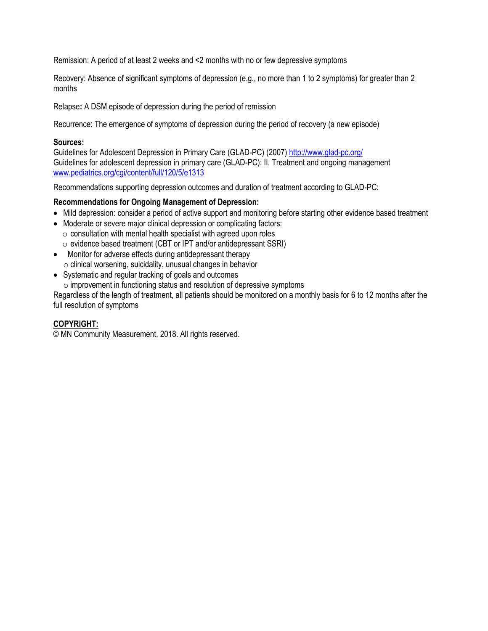Remission: A period of at least 2 weeks and <2 months with no or few depressive symptoms

Recovery: Absence of significant symptoms of depression (e.g., no more than 1 to 2 symptoms) for greater than 2 months

Relapse**:** A DSM episode of depression during the period of remission

Recurrence: The emergence of symptoms of depression during the period of recovery (a new episode)

#### **Sources:**

Guidelines for Adolescent Depression in Primary Care (GLAD-PC) (2007)<http://www.glad-pc.org/> Guidelines for adolescent depression in primary care (GLAD-PC): II. Treatment and ongoing management [www.pediatrics.org/cgi/content/full/120/5/e1313](http://www.pediatrics.org/cgi/content/full/120/5/e1313)

Recommendations supporting depression outcomes and duration of treatment according to GLAD-PC:

### **Recommendations for Ongoing Management of Depression:**

- Mild depression: consider a period of active support and monitoring before starting other evidence based treatment
- Moderate or severe major clinical depression or complicating factors:  $\circ$  consultation with mental health specialist with agreed upon roles
	- o evidence based treatment (CBT or IPT and/or antidepressant SSRI)
- Monitor for adverse effects during antidepressant therapy  $\circ$  clinical worsening, suicidality, unusual changes in behavior
- Systematic and regular tracking of goals and outcomes

o improvement in functioning status and resolution of depressive symptoms

Regardless of the length of treatment, all patients should be monitored on a monthly basis for 6 to 12 months after the full resolution of symptoms

### **COPYRIGHT:**

© MN Community Measurement, 2018. All rights reserved.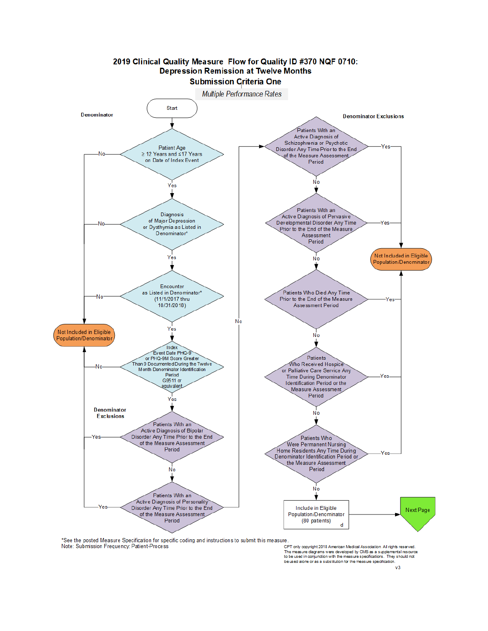

\*See the posted Measure Specification for specific coding and instructions to submit this measure.

Note: Submission Frequency: Patient-Process

CPT only copyright 2018 American Medical Association. All rights reserved. The measure diagrams were developed by CMS as a supplemental recorder<br>The measure diagrams were developed by CMS as a supplemental resource<br>to be used in conjunction with the measure specifications. They should not be used alone or as a substitution for the measure specification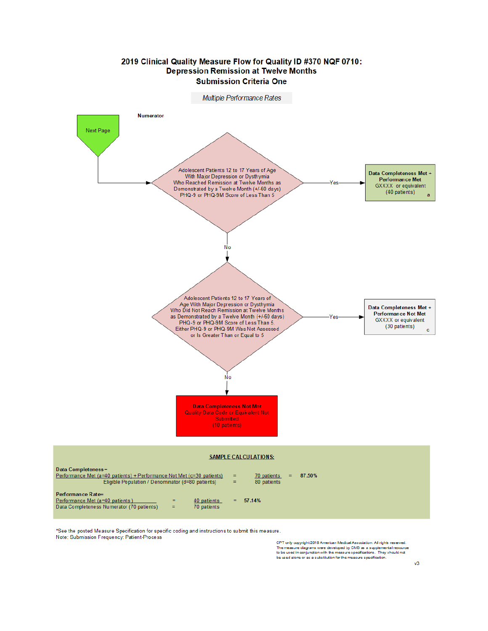

\*See the posted Measure Specification for specific coding and instructions to submit this measure. Note: Submission Frequency: Patient-Process

CPT only copyright 2018 American Medical Association. All rights reserved.<br>The measure diagrams were developed by CMS as a supplemental resource<br>to be used in conjunction with the measure specifications. They should not<br>be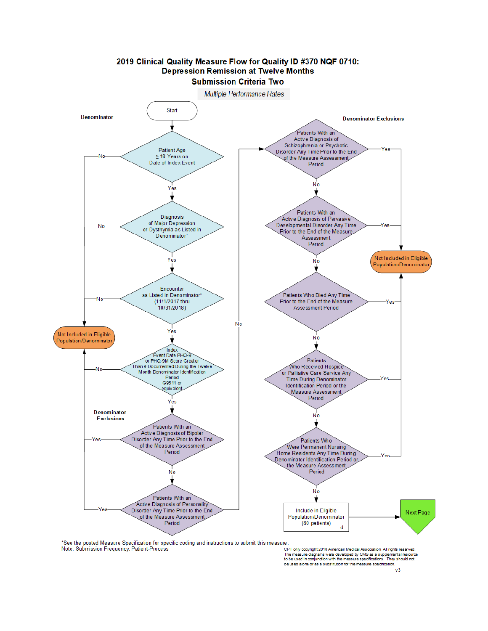

\*See the posted Measure Specification for specific coding and instructions to submit this measure. Note: Submission Frequency: Patient-Process

. - .<br>CPT only copyright 2018 American Medical Association. All rights reserved.<br>The measure diagrams were developed by CMS as a supplemental resource<br>to be used in conjunction with the measure specifications. They should be used alone or as a substitution for the measure specification.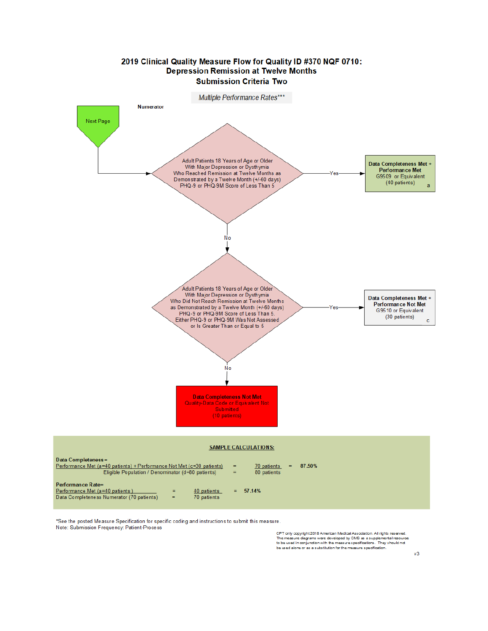

\*See the posted Measure Specification for specific coding and instructions to submit this measure. Note: Submission Frequency: Patient-Process

CPT only copyright 2018 American Medical Association. All rights reserved.<br>The measure diagrams were developed by CMS as a supplemental resource<br>to be used in conjunction with the measure specifications. They should not<br>be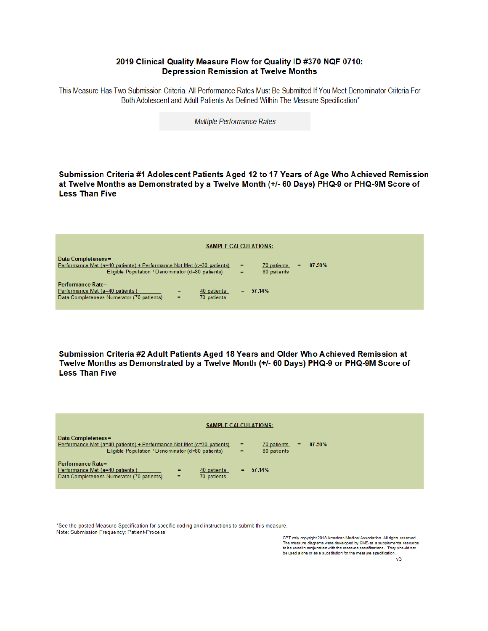#### 2019 Clinical Quality Measure Flow for Quality ID #370 NQF 0710: **Depression Remission at Twelve Months**

This Measure Has Two Submission Criteria. All Performance Rates Must Be Submitted If You Meet Denominator Criteria For Both Adolescent and Adult Patients As Defined Within The Measure Specification\*

Multiple Performance Rates

Submission Criteria #1 Adolescent Patients Aged 12 to 17 Years of Age Who Achieved Remission at Twelve Months as Demonstrated by a Twelve Month (+/- 60 Days) PHQ-9 or PHQ-9M Score of **Less Than Five** 

| <b>SAMPLE CALCULATIONS:</b>                                                                                                                      |                                           |        |  |  |  |  |
|--------------------------------------------------------------------------------------------------------------------------------------------------|-------------------------------------------|--------|--|--|--|--|
| Data Completeness=<br>Performance Met (a=40 patients) + Performance Not Met (c=30 patients)<br>Eligible Population / Denominator (d=80 patients) | 70 patients<br>=<br>=<br>80 patients<br>= | 87.50% |  |  |  |  |
| Performance Rate=<br>Performance Met (a=40 patients)<br>40 patients<br>=<br>Data Completeness Numerator (70 patients)<br>70 patients<br>$=$      | $= 57.14\%$                               |        |  |  |  |  |

Submission Criteria #2 Adult Patients Aged 18 Years and Older Who Achieved Remission at Twelve Months as Demonstrated by a Twelve Month (+/- 60 Days) PHQ-9 or PHQ-9M Score of **Less Than Five** 

| <b>SAMPLE CALCULATIONS:</b>                                                                                                                       |                                                       |  |  |  |  |  |
|---------------------------------------------------------------------------------------------------------------------------------------------------|-------------------------------------------------------|--|--|--|--|--|
| Data Completeness =<br>Performance Met (a=40 patients) + Performance Not Met (c=30 patients)<br>Eligible Population / Denominator (d=80 patients) | 87.50%<br>70 patients<br>=<br>$=$<br>80 patients<br>= |  |  |  |  |  |
| Performance Rate=<br>Performance Met (a=40 patients)<br>40 patients<br>$=$<br>Data Completeness Numerator (70 patients)<br>70 patients<br>$=$     | $= 57.14\%$                                           |  |  |  |  |  |

\*See the posted Measure Specification for specific coding and instructions to submit this measure. Note: Submission Frequency: Patient-Process

CPT only copyright 2018 American Medical Association. All rights reserved. The measure diagrams were developed by CMS as a supplemental resource<br>to be used in conjunction with the measure specifications. They should not be used alone or as a substitution for the measure specification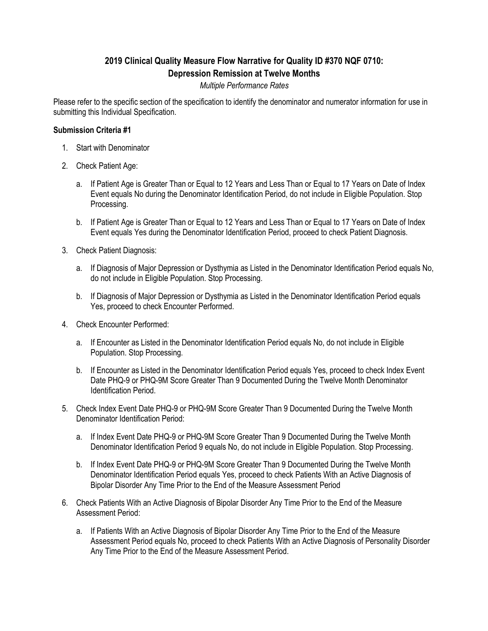# **2019 Clinical Quality Measure Flow Narrative for Quality ID #370 NQF 0710: Depression Remission at Twelve Months**

### *Multiple Performance Rates*

Please refer to the specific section of the specification to identify the denominator and numerator information for use in submitting this Individual Specification.

#### **Submission Criteria #1**

- 1. Start with Denominator
- 2. Check Patient Age:
	- a. If Patient Age is Greater Than or Equal to 12 Years and Less Than or Equal to 17 Years on Date of Index Event equals No during the Denominator Identification Period, do not include in Eligible Population. Stop Processing.
	- b. If Patient Age is Greater Than or Equal to 12 Years and Less Than or Equal to 17 Years on Date of Index Event equals Yes during the Denominator Identification Period, proceed to check Patient Diagnosis.
- 3. Check Patient Diagnosis:
	- a. If Diagnosis of Major Depression or Dysthymia as Listed in the Denominator Identification Period equals No, do not include in Eligible Population. Stop Processing.
	- b. If Diagnosis of Major Depression or Dysthymia as Listed in the Denominator Identification Period equals Yes, proceed to check Encounter Performed.
- 4. Check Encounter Performed:
	- a. If Encounter as Listed in the Denominator Identification Period equals No, do not include in Eligible Population. Stop Processing.
	- b. If Encounter as Listed in the Denominator Identification Period equals Yes, proceed to check Index Event Date PHQ-9 or PHQ-9M Score Greater Than 9 Documented During the Twelve Month Denominator Identification Period.
- 5. Check Index Event Date PHQ-9 or PHQ-9M Score Greater Than 9 Documented During the Twelve Month Denominator Identification Period:
	- a. If Index Event Date PHQ-9 or PHQ-9M Score Greater Than 9 Documented During the Twelve Month Denominator Identification Period 9 equals No, do not include in Eligible Population. Stop Processing.
	- b. If Index Event Date PHQ-9 or PHQ-9M Score Greater Than 9 Documented During the Twelve Month Denominator Identification Period equals Yes, proceed to check Patients With an Active Diagnosis of Bipolar Disorder Any Time Prior to the End of the Measure Assessment Period
- 6. Check Patients With an Active Diagnosis of Bipolar Disorder Any Time Prior to the End of the Measure Assessment Period:
	- a. If Patients With an Active Diagnosis of Bipolar Disorder Any Time Prior to the End of the Measure Assessment Period equals No, proceed to check Patients With an Active Diagnosis of Personality Disorder Any Time Prior to the End of the Measure Assessment Period.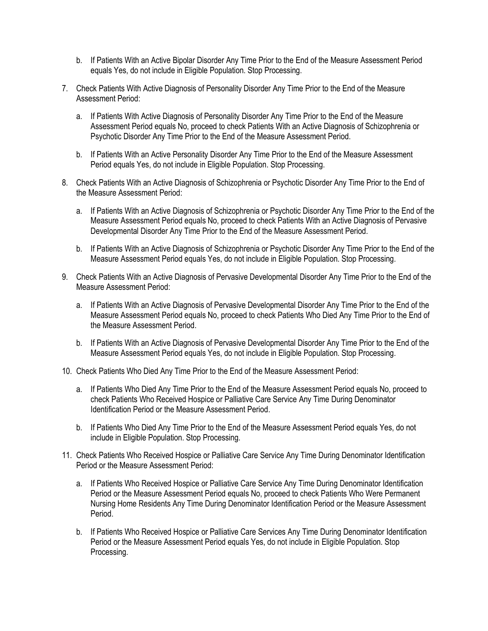- b. If Patients With an Active Bipolar Disorder Any Time Prior to the End of the Measure Assessment Period equals Yes, do not include in Eligible Population. Stop Processing.
- 7. Check Patients With Active Diagnosis of Personality Disorder Any Time Prior to the End of the Measure Assessment Period:
	- a. If Patients With Active Diagnosis of Personality Disorder Any Time Prior to the End of the Measure Assessment Period equals No, proceed to check Patients With an Active Diagnosis of Schizophrenia or Psychotic Disorder Any Time Prior to the End of the Measure Assessment Period.
	- b. If Patients With an Active Personality Disorder Any Time Prior to the End of the Measure Assessment Period equals Yes, do not include in Eligible Population. Stop Processing.
- 8. Check Patients With an Active Diagnosis of Schizophrenia or Psychotic Disorder Any Time Prior to the End of the Measure Assessment Period:
	- a. If Patients With an Active Diagnosis of Schizophrenia or Psychotic Disorder Any Time Prior to the End of the Measure Assessment Period equals No, proceed to check Patients With an Active Diagnosis of Pervasive Developmental Disorder Any Time Prior to the End of the Measure Assessment Period.
	- b. If Patients With an Active Diagnosis of Schizophrenia or Psychotic Disorder Any Time Prior to the End of the Measure Assessment Period equals Yes, do not include in Eligible Population. Stop Processing.
- 9. Check Patients With an Active Diagnosis of Pervasive Developmental Disorder Any Time Prior to the End of the Measure Assessment Period:
	- a. If Patients With an Active Diagnosis of Pervasive Developmental Disorder Any Time Prior to the End of the Measure Assessment Period equals No, proceed to check Patients Who Died Any Time Prior to the End of the Measure Assessment Period.
	- b. If Patients With an Active Diagnosis of Pervasive Developmental Disorder Any Time Prior to the End of the Measure Assessment Period equals Yes, do not include in Eligible Population. Stop Processing.
- 10. Check Patients Who Died Any Time Prior to the End of the Measure Assessment Period:
	- a. If Patients Who Died Any Time Prior to the End of the Measure Assessment Period equals No, proceed to check Patients Who Received Hospice or Palliative Care Service Any Time During Denominator Identification Period or the Measure Assessment Period.
	- b. If Patients Who Died Any Time Prior to the End of the Measure Assessment Period equals Yes, do not include in Eligible Population. Stop Processing.
- 11. Check Patients Who Received Hospice or Palliative Care Service Any Time During Denominator Identification Period or the Measure Assessment Period:
	- a. If Patients Who Received Hospice or Palliative Care Service Any Time During Denominator Identification Period or the Measure Assessment Period equals No, proceed to check Patients Who Were Permanent Nursing Home Residents Any Time During Denominator Identification Period or the Measure Assessment Period.
	- b. If Patients Who Received Hospice or Palliative Care Services Any Time During Denominator Identification Period or the Measure Assessment Period equals Yes, do not include in Eligible Population. Stop Processing.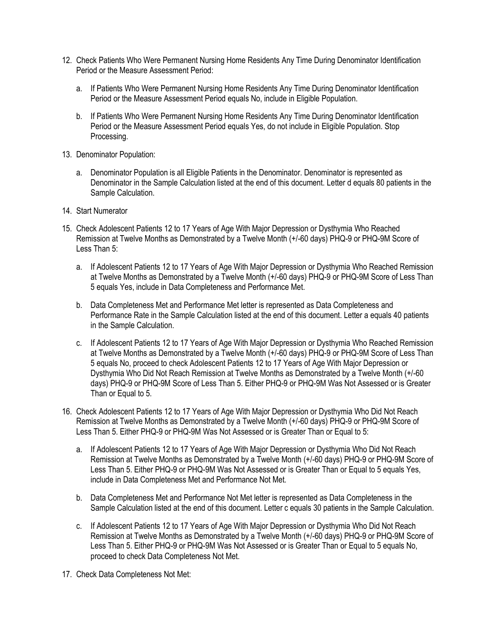- 12. Check Patients Who Were Permanent Nursing Home Residents Any Time During Denominator Identification Period or the Measure Assessment Period:
	- a. If Patients Who Were Permanent Nursing Home Residents Any Time During Denominator Identification Period or the Measure Assessment Period equals No, include in Eligible Population.
	- b. If Patients Who Were Permanent Nursing Home Residents Any Time During Denominator Identification Period or the Measure Assessment Period equals Yes, do not include in Eligible Population. Stop Processing.
- 13. Denominator Population:
	- a. Denominator Population is all Eligible Patients in the Denominator. Denominator is represented as Denominator in the Sample Calculation listed at the end of this document. Letter d equals 80 patients in the Sample Calculation.
- 14. Start Numerator
- 15. Check Adolescent Patients 12 to 17 Years of Age With Major Depression or Dysthymia Who Reached Remission at Twelve Months as Demonstrated by a Twelve Month (+/-60 days) PHQ-9 or PHQ-9M Score of Less Than 5:
	- a. If Adolescent Patients 12 to 17 Years of Age With Major Depression or Dysthymia Who Reached Remission at Twelve Months as Demonstrated by a Twelve Month (+/-60 days) PHQ-9 or PHQ-9M Score of Less Than 5 equals Yes, include in Data Completeness and Performance Met.
	- b. Data Completeness Met and Performance Met letter is represented as Data Completeness and Performance Rate in the Sample Calculation listed at the end of this document. Letter a equals 40 patients in the Sample Calculation.
	- c. If Adolescent Patients 12 to 17 Years of Age With Major Depression or Dysthymia Who Reached Remission at Twelve Months as Demonstrated by a Twelve Month (+/-60 days) PHQ-9 or PHQ-9M Score of Less Than 5 equals No, proceed to check Adolescent Patients 12 to 17 Years of Age With Major Depression or Dysthymia Who Did Not Reach Remission at Twelve Months as Demonstrated by a Twelve Month (+/-60 days) PHQ-9 or PHQ-9M Score of Less Than 5. Either PHQ-9 or PHQ-9M Was Not Assessed or is Greater Than or Equal to 5.
- 16. Check Adolescent Patients 12 to 17 Years of Age With Major Depression or Dysthymia Who Did Not Reach Remission at Twelve Months as Demonstrated by a Twelve Month (+/-60 days) PHQ-9 or PHQ-9M Score of Less Than 5. Either PHQ-9 or PHQ-9M Was Not Assessed or is Greater Than or Equal to 5:
	- a. If Adolescent Patients 12 to 17 Years of Age With Major Depression or Dysthymia Who Did Not Reach Remission at Twelve Months as Demonstrated by a Twelve Month (+/-60 days) PHQ-9 or PHQ-9M Score of Less Than 5. Either PHQ-9 or PHQ-9M Was Not Assessed or is Greater Than or Equal to 5 equals Yes, include in Data Completeness Met and Performance Not Met.
	- b. Data Completeness Met and Performance Not Met letter is represented as Data Completeness in the Sample Calculation listed at the end of this document. Letter c equals 30 patients in the Sample Calculation.
	- c. If Adolescent Patients 12 to 17 Years of Age With Major Depression or Dysthymia Who Did Not Reach Remission at Twelve Months as Demonstrated by a Twelve Month (+/-60 days) PHQ-9 or PHQ-9M Score of Less Than 5. Either PHQ-9 or PHQ-9M Was Not Assessed or is Greater Than or Equal to 5 equals No, proceed to check Data Completeness Not Met.
- 17. Check Data Completeness Not Met: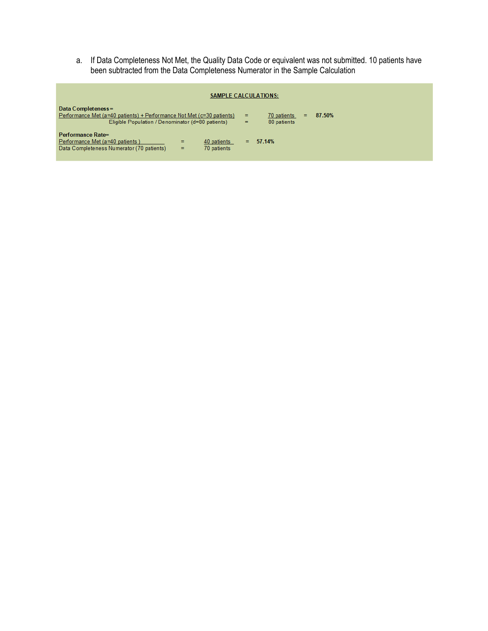a. If Data Completeness Not Met, the Quality Data Code or equivalent was not submitted. 10 patients have been subtracted from the Data Completeness Numerator in the Sample Calculation

| <b>SAMPLE CALCULATIONS:</b>                                                                                                                       |          |                            |   |        |  |  |
|---------------------------------------------------------------------------------------------------------------------------------------------------|----------|----------------------------|---|--------|--|--|
| Data Completeness =<br>Performance Met (a=40 patients) + Performance Not Met (c=30 patients)<br>Eligible Population / Denominator (d=80 patients) | =<br>$=$ | 70 patients<br>80 patients | = | 87.50% |  |  |
| Performance Rate=<br>Performance Met (a=40 patients)<br>40 patients<br>=<br>Data Completeness Numerator (70 patients)<br>70 patients<br>$=$       | Ξ.       | 57.14%                     |   |        |  |  |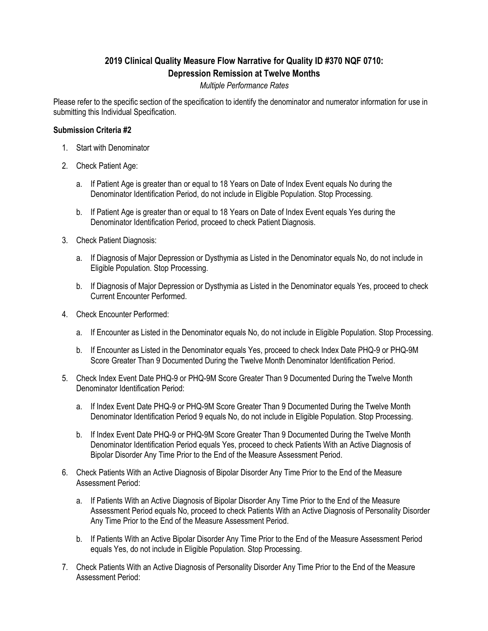# **2019 Clinical Quality Measure Flow Narrative for Quality ID #370 NQF 0710: Depression Remission at Twelve Months**

## *Multiple Performance Rates*

Please refer to the specific section of the specification to identify the denominator and numerator information for use in submitting this Individual Specification.

### **Submission Criteria #2**

- 1. Start with Denominator
- 2. Check Patient Age:
	- a. If Patient Age is greater than or equal to 18 Years on Date of Index Event equals No during the Denominator Identification Period, do not include in Eligible Population. Stop Processing.
	- b. If Patient Age is greater than or equal to 18 Years on Date of Index Event equals Yes during the Denominator Identification Period, proceed to check Patient Diagnosis.
- 3. Check Patient Diagnosis:
	- a. If Diagnosis of Major Depression or Dysthymia as Listed in the Denominator equals No, do not include in Eligible Population. Stop Processing.
	- b. If Diagnosis of Major Depression or Dysthymia as Listed in the Denominator equals Yes, proceed to check Current Encounter Performed.
- 4. Check Encounter Performed:
	- a. If Encounter as Listed in the Denominator equals No, do not include in Eligible Population. Stop Processing.
	- b. If Encounter as Listed in the Denominator equals Yes, proceed to check Index Date PHQ-9 or PHQ-9M Score Greater Than 9 Documented During the Twelve Month Denominator Identification Period.
- 5. Check Index Event Date PHQ-9 or PHQ-9M Score Greater Than 9 Documented During the Twelve Month Denominator Identification Period:
	- a. If Index Event Date PHQ-9 or PHQ-9M Score Greater Than 9 Documented During the Twelve Month Denominator Identification Period 9 equals No, do not include in Eligible Population. Stop Processing.
	- b. If Index Event Date PHQ-9 or PHQ-9M Score Greater Than 9 Documented During the Twelve Month Denominator Identification Period equals Yes, proceed to check Patients With an Active Diagnosis of Bipolar Disorder Any Time Prior to the End of the Measure Assessment Period.
- 6. Check Patients With an Active Diagnosis of Bipolar Disorder Any Time Prior to the End of the Measure Assessment Period:
	- a. If Patients With an Active Diagnosis of Bipolar Disorder Any Time Prior to the End of the Measure Assessment Period equals No, proceed to check Patients With an Active Diagnosis of Personality Disorder Any Time Prior to the End of the Measure Assessment Period.
	- b. If Patients With an Active Bipolar Disorder Any Time Prior to the End of the Measure Assessment Period equals Yes, do not include in Eligible Population. Stop Processing.
- 7. Check Patients With an Active Diagnosis of Personality Disorder Any Time Prior to the End of the Measure Assessment Period: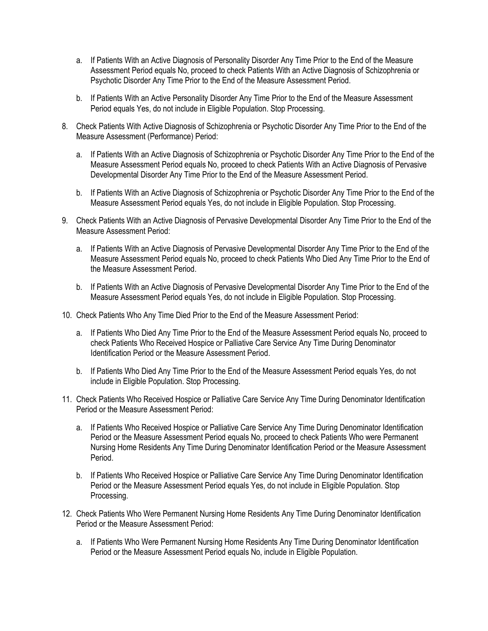- a. If Patients With an Active Diagnosis of Personality Disorder Any Time Prior to the End of the Measure Assessment Period equals No, proceed to check Patients With an Active Diagnosis of Schizophrenia or Psychotic Disorder Any Time Prior to the End of the Measure Assessment Period.
- b. If Patients With an Active Personality Disorder Any Time Prior to the End of the Measure Assessment Period equals Yes, do not include in Eligible Population. Stop Processing.
- 8. Check Patients With Active Diagnosis of Schizophrenia or Psychotic Disorder Any Time Prior to the End of the Measure Assessment (Performance) Period:
	- a. If Patients With an Active Diagnosis of Schizophrenia or Psychotic Disorder Any Time Prior to the End of the Measure Assessment Period equals No, proceed to check Patients With an Active Diagnosis of Pervasive Developmental Disorder Any Time Prior to the End of the Measure Assessment Period.
	- b. If Patients With an Active Diagnosis of Schizophrenia or Psychotic Disorder Any Time Prior to the End of the Measure Assessment Period equals Yes, do not include in Eligible Population. Stop Processing.
- 9. Check Patients With an Active Diagnosis of Pervasive Developmental Disorder Any Time Prior to the End of the Measure Assessment Period:
	- a. If Patients With an Active Diagnosis of Pervasive Developmental Disorder Any Time Prior to the End of the Measure Assessment Period equals No, proceed to check Patients Who Died Any Time Prior to the End of the Measure Assessment Period.
	- b. If Patients With an Active Diagnosis of Pervasive Developmental Disorder Any Time Prior to the End of the Measure Assessment Period equals Yes, do not include in Eligible Population. Stop Processing.
- 10. Check Patients Who Any Time Died Prior to the End of the Measure Assessment Period:
	- a. If Patients Who Died Any Time Prior to the End of the Measure Assessment Period equals No, proceed to check Patients Who Received Hospice or Palliative Care Service Any Time During Denominator Identification Period or the Measure Assessment Period.
	- b. If Patients Who Died Any Time Prior to the End of the Measure Assessment Period equals Yes, do not include in Eligible Population. Stop Processing.
- 11. Check Patients Who Received Hospice or Palliative Care Service Any Time During Denominator Identification Period or the Measure Assessment Period:
	- a. If Patients Who Received Hospice or Palliative Care Service Any Time During Denominator Identification Period or the Measure Assessment Period equals No, proceed to check Patients Who were Permanent Nursing Home Residents Any Time During Denominator Identification Period or the Measure Assessment Period.
	- b. If Patients Who Received Hospice or Palliative Care Service Any Time During Denominator Identification Period or the Measure Assessment Period equals Yes, do not include in Eligible Population. Stop Processing.
- 12. Check Patients Who Were Permanent Nursing Home Residents Any Time During Denominator Identification Period or the Measure Assessment Period:
	- a. If Patients Who Were Permanent Nursing Home Residents Any Time During Denominator Identification Period or the Measure Assessment Period equals No, include in Eligible Population.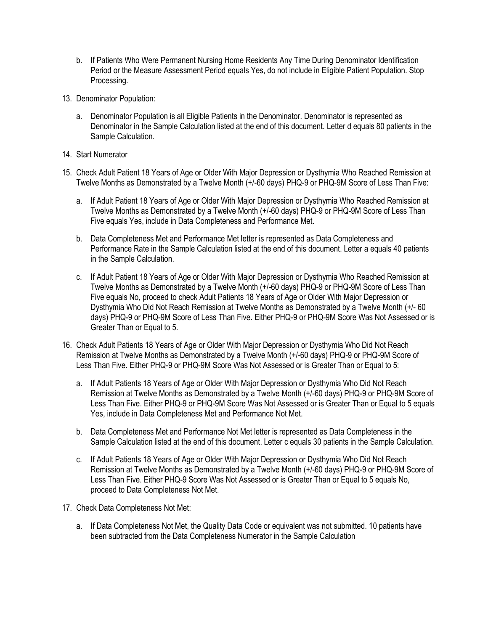- b. If Patients Who Were Permanent Nursing Home Residents Any Time During Denominator Identification Period or the Measure Assessment Period equals Yes, do not include in Eligible Patient Population. Stop Processing.
- 13. Denominator Population:
	- a. Denominator Population is all Eligible Patients in the Denominator. Denominator is represented as Denominator in the Sample Calculation listed at the end of this document. Letter d equals 80 patients in the Sample Calculation.
- 14. Start Numerator
- 15. Check Adult Patient 18 Years of Age or Older With Major Depression or Dysthymia Who Reached Remission at Twelve Months as Demonstrated by a Twelve Month (+/-60 days) PHQ-9 or PHQ-9M Score of Less Than Five:
	- a. If Adult Patient 18 Years of Age or Older With Major Depression or Dysthymia Who Reached Remission at Twelve Months as Demonstrated by a Twelve Month (+/-60 days) PHQ-9 or PHQ-9M Score of Less Than Five equals Yes, include in Data Completeness and Performance Met.
	- b. Data Completeness Met and Performance Met letter is represented as Data Completeness and Performance Rate in the Sample Calculation listed at the end of this document. Letter a equals 40 patients in the Sample Calculation.
	- c. If Adult Patient 18 Years of Age or Older With Major Depression or Dysthymia Who Reached Remission at Twelve Months as Demonstrated by a Twelve Month (+/-60 days) PHQ-9 or PHQ-9M Score of Less Than Five equals No, proceed to check Adult Patients 18 Years of Age or Older With Major Depression or Dysthymia Who Did Not Reach Remission at Twelve Months as Demonstrated by a Twelve Month (+/- 60 days) PHQ-9 or PHQ-9M Score of Less Than Five. Either PHQ-9 or PHQ-9M Score Was Not Assessed or is Greater Than or Equal to 5.
- 16. Check Adult Patients 18 Years of Age or Older With Major Depression or Dysthymia Who Did Not Reach Remission at Twelve Months as Demonstrated by a Twelve Month (+/-60 days) PHQ-9 or PHQ-9M Score of Less Than Five. Either PHQ-9 or PHQ-9M Score Was Not Assessed or is Greater Than or Equal to 5:
	- a. If Adult Patients 18 Years of Age or Older With Major Depression or Dysthymia Who Did Not Reach Remission at Twelve Months as Demonstrated by a Twelve Month (+/-60 days) PHQ-9 or PHQ-9M Score of Less Than Five. Either PHQ-9 or PHQ-9M Score Was Not Assessed or is Greater Than or Equal to 5 equals Yes, include in Data Completeness Met and Performance Not Met.
	- b. Data Completeness Met and Performance Not Met letter is represented as Data Completeness in the Sample Calculation listed at the end of this document. Letter c equals 30 patients in the Sample Calculation.
	- c. If Adult Patients 18 Years of Age or Older With Major Depression or Dysthymia Who Did Not Reach Remission at Twelve Months as Demonstrated by a Twelve Month (+/-60 days) PHQ-9 or PHQ-9M Score of Less Than Five. Either PHQ-9 Score Was Not Assessed or is Greater Than or Equal to 5 equals No, proceed to Data Completeness Not Met.
- 17. Check Data Completeness Not Met:
	- a. If Data Completeness Not Met, the Quality Data Code or equivalent was not submitted. 10 patients have been subtracted from the Data Completeness Numerator in the Sample Calculation